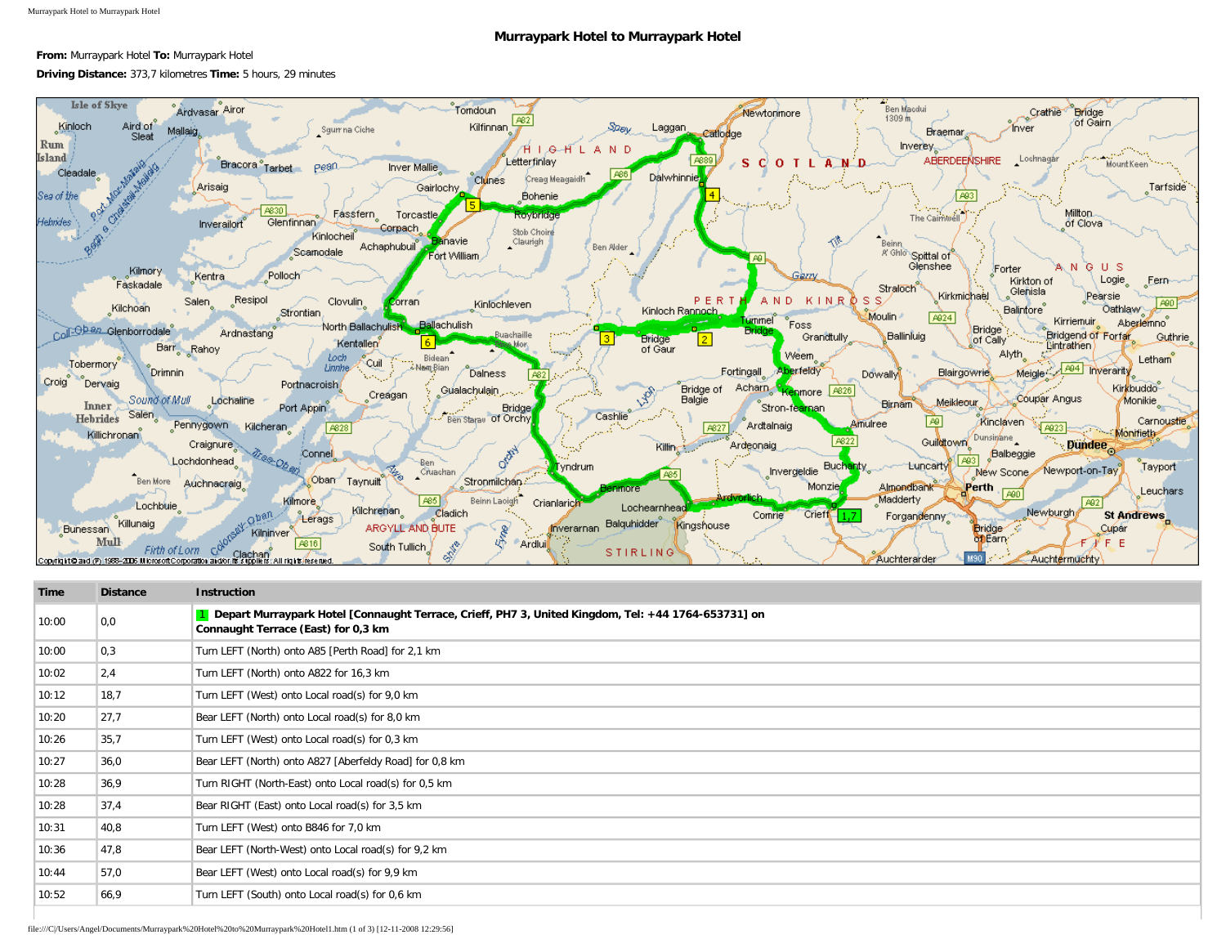## **Murraypark Hotel to Murraypark Hotel**

## **From:** Murraypark Hotel **To:** Murraypark Hotel

## **Driving Distance:** 373,7 kilometres **Time:** 5 hours, 29 minutes



| Time  | <b>Distance</b> | <b>Instruction</b>                                                                                                                           |
|-------|-----------------|----------------------------------------------------------------------------------------------------------------------------------------------|
| 10:00 | 0,0             | 1 Depart Murraypark Hotel [Connaught Terrace, Crieff, PH7 3, United Kingdom, Tel: +44 1764-653731] on<br>Connaught Terrace (East) for 0,3 km |
| 10:00 | 0,3             | Turn LEFT (North) onto A85 [Perth Road] for 2,1 km                                                                                           |
| 10:02 | 2,4             | Turn LEFT (North) onto A822 for 16,3 km                                                                                                      |
| 10:12 | 18,7            | Turn LEFT (West) onto Local road(s) for 9,0 km                                                                                               |
| 10:20 | 27,7            | Bear LEFT (North) onto Local road(s) for 8,0 km                                                                                              |
| 10:26 | 35,7            | Turn LEFT (West) onto Local road(s) for 0,3 km                                                                                               |
| 10:27 | 36,0            | Bear LEFT (North) onto A827 [Aberfeldy Road] for 0,8 km                                                                                      |
| 10:28 | 36,9            | Turn RIGHT (North-East) onto Local road(s) for 0,5 km                                                                                        |
| 10:28 | 37,4            | Bear RIGHT (East) onto Local road(s) for 3,5 km                                                                                              |
| 10:31 | 40,8            | Turn LEFT (West) onto B846 for 7,0 km                                                                                                        |
| 10:36 | 47,8            | Bear LEFT (North-West) onto Local road(s) for 9.2 km                                                                                         |
| 10:44 | 57,0            | Bear LEFT (West) onto Local road(s) for 9,9 km                                                                                               |
| 10:52 | 66,9            | Turn LEFT (South) onto Local road(s) for 0,6 km                                                                                              |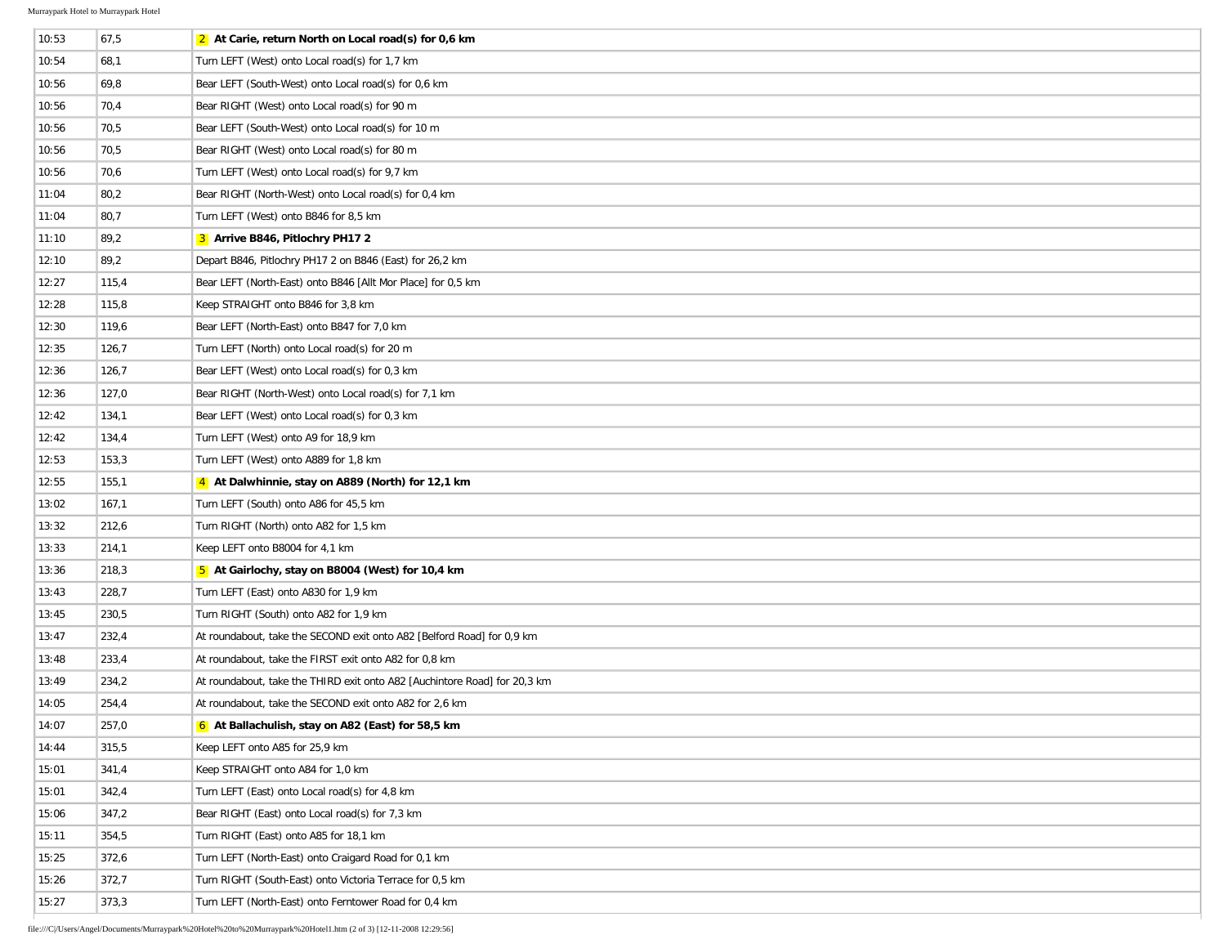$\overline{\phantom{a}}$ 

| 10:53 | 67,5  | 2 At Carie, return North on Local road(s) for $0.6 \text{ km}$            |
|-------|-------|---------------------------------------------------------------------------|
| 10:54 | 68,1  | Turn LEFT (West) onto Local road(s) for 1,7 km                            |
| 10:56 | 69,8  | Bear LEFT (South-West) onto Local road(s) for 0,6 km                      |
| 10:56 | 70,4  | Bear RIGHT (West) onto Local road(s) for 90 m                             |
| 10:56 | 70,5  | Bear LEFT (South-West) onto Local road(s) for 10 m                        |
| 10:56 | 70,5  | Bear RIGHT (West) onto Local road(s) for 80 m                             |
| 10:56 | 70,6  | Turn LEFT (West) onto Local road(s) for 9,7 km                            |
| 11:04 | 80,2  | Bear RIGHT (North-West) onto Local road(s) for 0,4 km                     |
| 11:04 | 80,7  | Turn LEFT (West) onto B846 for 8,5 km                                     |
| 11:10 | 89,2  | 3 Arrive B846, Pitlochry PH17 2                                           |
| 12:10 | 89,2  | Depart B846, Pitlochry PH17 2 on B846 (East) for 26,2 km                  |
| 12:27 | 115,4 | Bear LEFT (North-East) onto B846 [Allt Mor Place] for 0,5 km              |
| 12:28 | 115,8 | Keep STRAIGHT onto B846 for 3,8 km                                        |
| 12:30 | 119,6 | Bear LEFT (North-East) onto B847 for 7,0 km                               |
| 12:35 | 126,7 | Turn LEFT (North) onto Local road(s) for 20 m                             |
| 12:36 | 126,7 | Bear LEFT (West) onto Local road(s) for 0,3 km                            |
| 12:36 | 127,0 | Bear RIGHT (North-West) onto Local road(s) for 7,1 km                     |
| 12:42 | 134,1 | Bear LEFT (West) onto Local road(s) for 0,3 km                            |
| 12:42 | 134,4 | Turn LEFT (West) onto A9 for 18,9 km                                      |
| 12:53 | 153,3 | Turn LEFT (West) onto A889 for 1,8 km                                     |
| 12:55 | 155,1 | 4 At Dalwhinnie, stay on A889 (North) for 12,1 km                         |
| 13:02 | 167,1 | Turn LEFT (South) onto A86 for 45,5 km                                    |
| 13:32 | 212,6 | Turn RIGHT (North) onto A82 for 1,5 km                                    |
| 13:33 | 214,1 | Keep LEFT onto B8004 for 4,1 km                                           |
| 13:36 | 218,3 | 5 At Gairlochy, stay on B8004 (West) for 10,4 km                          |
| 13:43 | 228,7 | Turn LEFT (East) onto A830 for 1,9 km                                     |
| 13:45 | 230,5 | Turn RIGHT (South) onto A82 for 1,9 km                                    |
| 13:47 | 232,4 | At roundabout, take the SECOND exit onto A82 [Belford Road] for 0,9 km    |
| 13:48 | 233,4 | At roundabout, take the FIRST exit onto A82 for 0,8 km                    |
| 13:49 | 234,2 | At roundabout, take the THIRD exit onto A82 [Auchintore Road] for 20,3 km |
| 14:05 | 254,4 | At roundabout, take the SECOND exit onto A82 for 2,6 km                   |
| 14:07 | 257,0 | 6 At Ballachulish, stay on A82 (East) for 58,5 km                         |
| 14:44 | 315,5 | Keep LEFT onto A85 for 25,9 km                                            |
| 15:01 | 341,4 | Keep STRAIGHT onto A84 for 1,0 km                                         |
| 15:01 | 342,4 | Turn LEFT (East) onto Local road(s) for 4,8 km                            |
| 15:06 | 347,2 | Bear RIGHT (East) onto Local road(s) for 7,3 km                           |
| 15:11 | 354,5 | Turn RIGHT (East) onto A85 for 18,1 km                                    |
| 15:25 | 372,6 | Turn LEFT (North-East) onto Craigard Road for 0,1 km                      |
| 15:26 | 372,7 | Turn RIGHT (South-East) onto Victoria Terrace for 0,5 km                  |
| 15:27 | 373,3 | Turn LEFT (North-East) onto Ferntower Road for 0,4 km                     |
|       |       |                                                                           |